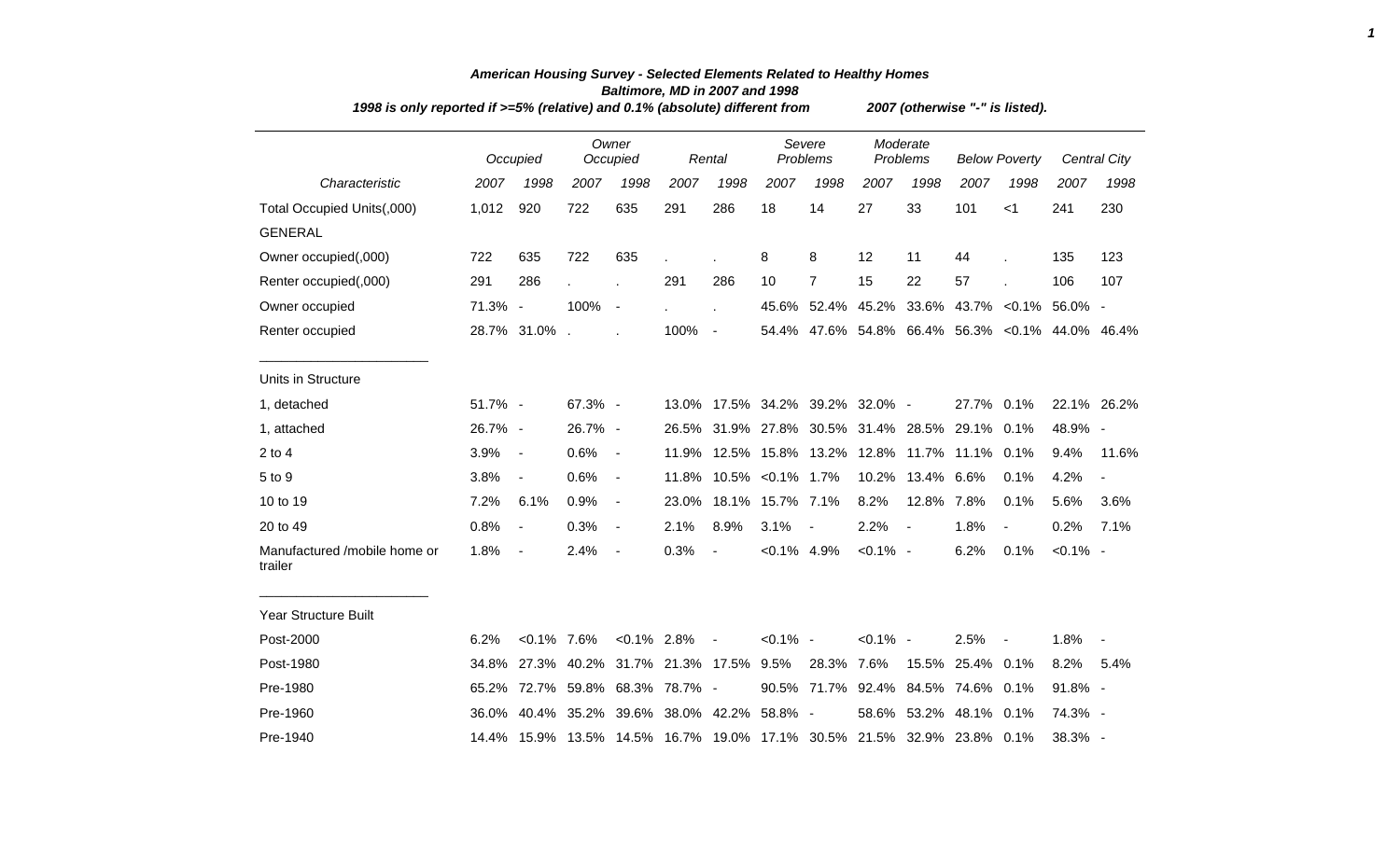| 1998 is only reported if >=5% (relative) and 0.1% (absolute) different from |         | 2007 (otherwise "-" is listed). |             |                          |                               |                          |                   |                           |                      |             |                                                                        |                                                  |             |                     |
|-----------------------------------------------------------------------------|---------|---------------------------------|-------------|--------------------------|-------------------------------|--------------------------|-------------------|---------------------------|----------------------|-------------|------------------------------------------------------------------------|--------------------------------------------------|-------------|---------------------|
|                                                                             |         | Occupied                        |             | Owner<br>Occupied        |                               | Rental                   |                   | Severe<br><b>Problems</b> | Moderate<br>Problems |             | <b>Below Poverty</b>                                                   |                                                  |             | <b>Central City</b> |
| Characteristic                                                              | 2007    | 1998                            | 2007        | 1998                     | 2007                          | 1998                     | 2007              | 1998                      | 2007                 | 1998        | 2007                                                                   | 1998                                             | 2007        | 1998                |
| Total Occupied Units(,000)                                                  | 1,012   | 920                             | 722         | 635                      | 291                           | 286                      | 18                | 14                        | 27                   | 33          | 101                                                                    | < 1                                              | 241         | 230                 |
| <b>GENERAL</b>                                                              |         |                                 |             |                          |                               |                          |                   |                           |                      |             |                                                                        |                                                  |             |                     |
| Owner occupied(,000)                                                        | 722     | 635                             | 722         | 635                      |                               |                          | 8                 | 8                         | 12                   | 11          | 44                                                                     |                                                  | 135         | 123                 |
| Renter occupied(,000)                                                       | 291     | 286                             |             |                          | 291                           | 286                      | 10                | $\overline{7}$            | 15                   | 22          | 57                                                                     |                                                  | 106         | 107                 |
| Owner occupied                                                              | 71.3% - |                                 | 100%        | $\overline{\phantom{a}}$ |                               |                          |                   | 45.6% 52.4% 45.2% 33.6%   |                      |             |                                                                        | 43.7% < 0.1% 56.0% -                             |             |                     |
| Renter occupied                                                             |         | 28.7% 31.0% .                   |             |                          | 100%                          | $\sim$                   |                   |                           |                      |             |                                                                        | 54.4% 47.6% 54.8% 66.4% 56.3% < 0.1% 44.0% 46.4% |             |                     |
| Units in Structure                                                          |         |                                 |             |                          |                               |                          |                   |                           |                      |             |                                                                        |                                                  |             |                     |
| 1, detached                                                                 | 51.7% - |                                 | 67.3% -     |                          | 13.0%                         |                          |                   | 17.5% 34.2% 39.2% 32.0% - |                      |             | 27.7% 0.1%                                                             |                                                  |             | 22.1% 26.2%         |
| 1, attached                                                                 | 26.7% - |                                 | 26.7% -     |                          | 26.5%                         |                          | 31.9% 27.8%       | 30.5%                     |                      | 31.4% 28.5% | 29.1%                                                                  | 0.1%                                             | 48.9% -     |                     |
| $2$ to 4                                                                    | 3.9%    | $\blacksquare$                  | 0.6%        | $\blacksquare$           | 11.9%                         |                          |                   |                           |                      |             | 12.5% 15.8% 13.2% 12.8% 11.7% 11.1%                                    | 0.1%                                             | 9.4%        | 11.6%               |
| 5 to 9                                                                      | 3.8%    | $\overline{\phantom{a}}$        | 0.6%        | $\blacksquare$           | 11.8%                         |                          | 10.5% < 0.1% 1.7% |                           |                      | 10.2% 13.4% | 6.6%                                                                   | 0.1%                                             | 4.2%        |                     |
| 10 to 19                                                                    | 7.2%    | 6.1%                            | 0.9%        | $\blacksquare$           | 23.0%                         |                          | 18.1% 15.7% 7.1%  |                           | 8.2%                 | 12.8%       | 7.8%                                                                   | 0.1%                                             | 5.6%        | 3.6%                |
| 20 to 49                                                                    | 0.8%    | $\blacksquare$                  | 0.3%        | $\overline{\phantom{a}}$ | 2.1%                          | 8.9%                     | 3.1%              | $\overline{\phantom{a}}$  | 2.2%                 | $\sim$      | 1.8%                                                                   | $\overline{\phantom{a}}$                         | 0.2%        | 7.1%                |
| Manufactured /mobile home or<br>trailer                                     | 1.8%    | $\overline{\phantom{a}}$        | 2.4%        | $\overline{\phantom{a}}$ | 0.3%                          | $\overline{\phantom{a}}$ | $< 0.1\%$ 4.9%    |                           | $< 0.1\%$ -          |             | 6.2%                                                                   | 0.1%                                             | $< 0.1\%$ - |                     |
| <b>Year Structure Built</b>                                                 |         |                                 |             |                          |                               |                          |                   |                           |                      |             |                                                                        |                                                  |             |                     |
| Post-2000                                                                   | 6.2%    | $< 0.1\%$ 7.6%                  |             | $< 0.1\%$ 2.8%           |                               | $\blacksquare$           | $< 0.1\%$ -       |                           | $< 0.1\%$ -          |             | 2.5%                                                                   | $\overline{\phantom{a}}$                         | 1.8%        | $\blacksquare$      |
| Post-1980                                                                   | 34.8%   |                                 |             |                          | 27.3% 40.2% 31.7% 21.3% 17.5% |                          | $9.5\%$           | 28.3%                     | 7.6%                 | 15.5%       | 25.4%                                                                  | $0.1\%$                                          | 8.2%        | 5.4%                |
| Pre-1980                                                                    | 65.2%   |                                 | 72.7% 59.8% | 68.3%                    | 78.7% -                       |                          |                   | 90.5% 71.7%               |                      |             | 92.4% 84.5% 74.6%                                                      | 0.1%                                             | 91.8% -     |                     |
| Pre-1960                                                                    | 36.0%   |                                 |             |                          | 40.4% 35.2% 39.6% 38.0% 42.2% |                          | 58.8% -           |                           |                      |             | 58.6% 53.2% 48.1% 0.1%                                                 |                                                  | 74.3% -     |                     |
| Pre-1940                                                                    |         |                                 |             |                          |                               |                          |                   |                           |                      |             | 14.4% 15.9% 13.5% 14.5% 16.7% 19.0% 17.1% 30.5% 21.5% 32.9% 23.8% 0.1% |                                                  | 38.3% -     |                     |

## *American Housing Survey - Selected Elements Related to Healthy Homes Baltimore, MD in 2007 and 1998*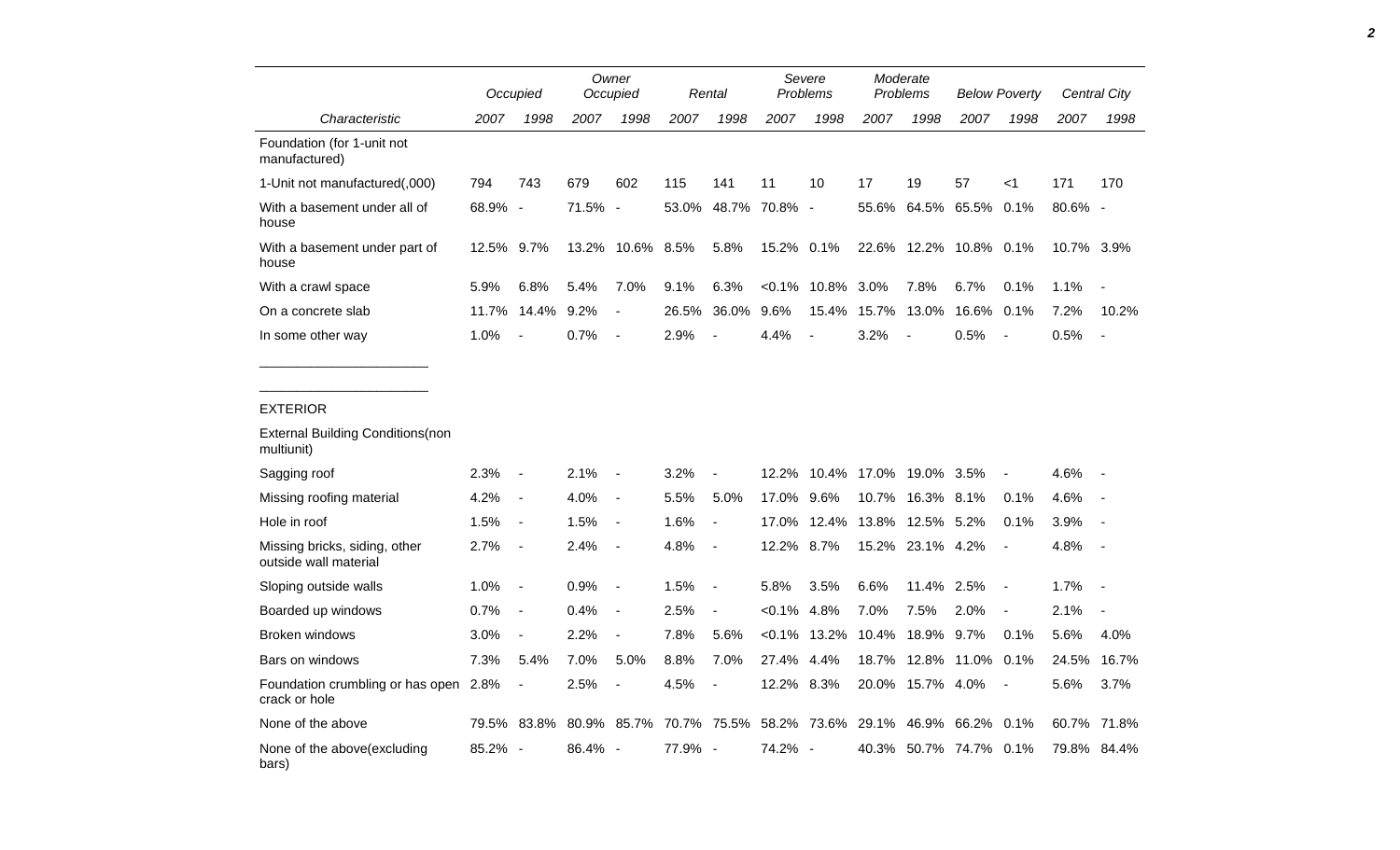|                                                        |       | Occupied                     |       | Owner<br>Occupied        |         | Rental                   | Severe<br>Problems |       | Moderate<br>Problems |                | <b>Below Poverty</b> |                | Central City |                          |
|--------------------------------------------------------|-------|------------------------------|-------|--------------------------|---------|--------------------------|--------------------|-------|----------------------|----------------|----------------------|----------------|--------------|--------------------------|
| Characteristic                                         | 2007  | 1998                         | 2007  | 1998                     | 2007    | 1998                     | 2007               | 1998  | 2007                 | 1998           | 2007                 | 1998           | 2007         | 1998                     |
| Foundation (for 1-unit not<br>manufactured)            |       |                              |       |                          |         |                          |                    |       |                      |                |                      |                |              |                          |
| 1-Unit not manufactured(,000)                          | 794   | 743                          | 679   | 602                      | 115     | 141                      | 11                 | 10    | 17                   | 19             | 57                   | $<$ 1          | 171          | 170                      |
| With a basement under all of<br>house                  | 68.9% | $\overline{\phantom{a}}$     | 71.5% | $\overline{\phantom{a}}$ | 53.0%   | 48.7%                    | 70.8% -            |       | 55.6%                | 64.5%          | 65.5%                | 0.1%           | 80.6% -      |                          |
| With a basement under part of<br>house                 | 12.5% | 9.7%                         | 13.2% | 10.6%                    | 8.5%    | 5.8%                     | 15.2% 0.1%         |       |                      | 22.6% 12.2%    | 10.8% 0.1%           |                | 10.7% 3.9%   |                          |
| With a crawl space                                     | 5.9%  | 6.8%                         | 5.4%  | 7.0%                     | 9.1%    | 6.3%                     | $< 0.1\%$          | 10.8% | 3.0%                 | 7.8%           | 6.7%                 | 0.1%           | 1.1%         |                          |
| On a concrete slab                                     | 11.7% | 14.4%                        | 9.2%  |                          | 26.5%   | 36.0%                    | 9.6%               | 15.4% | 15.7%                | 13.0%          | 16.6%                | 0.1%           | 7.2%         | 10.2%                    |
| In some other way                                      | 1.0%  | $\overline{a}$               | 0.7%  | $\blacksquare$           | 2.9%    | $\overline{\phantom{a}}$ | 4.4%               |       | 3.2%                 | $\blacksquare$ | 0.5%                 |                | 0.5%         | $\overline{\phantom{a}}$ |
|                                                        |       |                              |       |                          |         |                          |                    |       |                      |                |                      |                |              |                          |
| <b>EXTERIOR</b>                                        |       |                              |       |                          |         |                          |                    |       |                      |                |                      |                |              |                          |
| <b>External Building Conditions (non</b><br>multiunit) |       |                              |       |                          |         |                          |                    |       |                      |                |                      |                |              |                          |
| Sagging roof                                           | 2.3%  | $\overline{a}$               | 2.1%  |                          | 3.2%    |                          | 12.2%              | 10.4% | 17.0%                | 19.0% 3.5%     |                      |                | 4.6%         |                          |
| Missing roofing material                               | 4.2%  | $\blacksquare$               | 4.0%  | $\blacksquare$           | 5.5%    | 5.0%                     | 17.0%              | 9.6%  | 10.7%                | 16.3%          | $8.1\%$              | 0.1%           | 4.6%         |                          |
| Hole in roof                                           | 1.5%  | $\overline{\phantom{a}}$     | 1.5%  | $\blacksquare$           | 1.6%    | $\overline{\phantom{a}}$ | 17.0%              | 12.4% | 13.8%                | 12.5% 5.2%     |                      | 0.1%           | 3.9%         |                          |
| Missing bricks, siding, other<br>outside wall material | 2.7%  | $\blacksquare$               | 2.4%  | $\overline{\phantom{a}}$ | 4.8%    | $\overline{\phantom{a}}$ | 12.2%              | 8.7%  | 15.2%                | 23.1%          | 4.2%                 | $\overline{a}$ | 4.8%         |                          |
| Sloping outside walls                                  | 1.0%  | $\blacksquare$               | 0.9%  | $\blacksquare$           | 1.5%    | $\overline{\phantom{a}}$ | 5.8%               | 3.5%  | 6.6%                 | 11.4% 2.5%     |                      | $\blacksquare$ | 1.7%         |                          |
| Boarded up windows                                     | 0.7%  | $\qquad \qquad \blacksquare$ | 0.4%  | $\overline{\phantom{a}}$ | 2.5%    | $\overline{\phantom{a}}$ | $< 0.1\%$          | 4.8%  | 7.0%                 | 7.5%           | 2.0%                 |                | 2.1%         |                          |
| <b>Broken windows</b>                                  | 3.0%  | $\blacksquare$               | 2.2%  | $\overline{\phantom{a}}$ | 7.8%    | 5.6%                     | $< 0.1\%$          | 13.2% | 10.4%                | 18.9% 9.7%     |                      | 0.1%           | 5.6%         | 4.0%                     |
| Bars on windows                                        | 7.3%  | 5.4%                         | 7.0%  | 5.0%                     | 8.8%    | 7.0%                     | 27.4%              | 4.4%  | 18.7%                | 12.8%          | 11.0%                | 0.1%           | 24.5%        | 16.7%                    |
| Foundation crumbling or has open 2.8%<br>crack or hole |       | $\overline{a}$               | 2.5%  |                          | 4.5%    | $\overline{\phantom{a}}$ | 12.2% 8.3%         |       | 20.0%                | 15.7% 4.0%     |                      |                | 5.6%         | 3.7%                     |
| None of the above                                      | 79.5% | 83.8%                        | 80.9% | 85.7%                    | 70.7%   | 75.5%                    | 58.2%              | 73.6% | 29.1%                | 46.9%          | 66.2%                | 0.1%           | 60.7%        | 71.8%                    |
| None of the above (excluding<br>bars)                  | 85.2% | $\overline{\phantom{a}}$     | 86.4% | $\sim$                   | 77.9% - |                          | 74.2% -            |       | 40.3%                |                | 50.7% 74.7% 0.1%     |                | 79.8%        | 84.4%                    |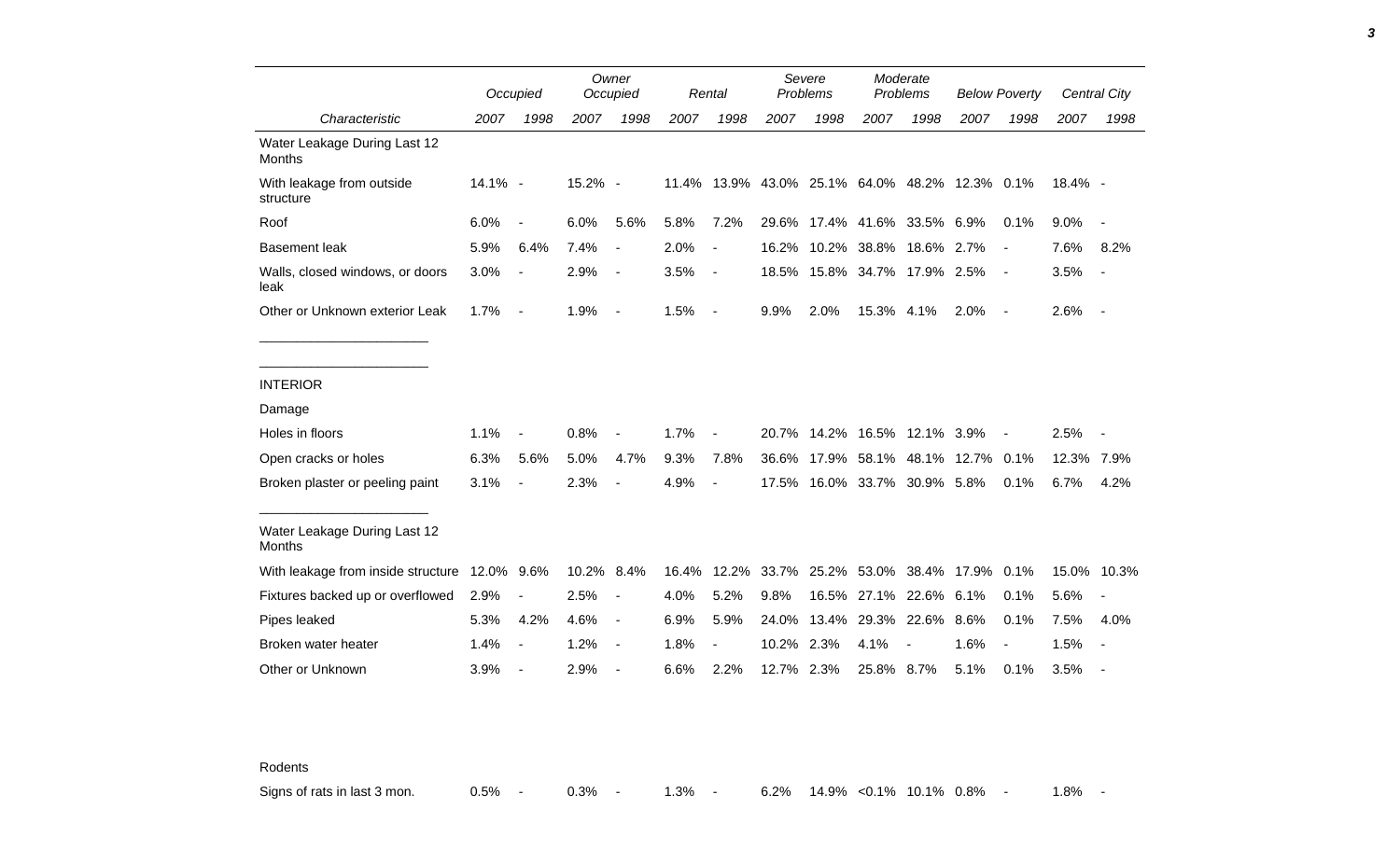|                                               |         | Occupied                 |            | Owner<br>Occupied        |       | Rental                   |            | Severe<br>Problems |            | Moderate<br>Problems                           |      | <b>Below Poverty</b>     |         | Central City |
|-----------------------------------------------|---------|--------------------------|------------|--------------------------|-------|--------------------------|------------|--------------------|------------|------------------------------------------------|------|--------------------------|---------|--------------|
| Characteristic                                | 2007    | 1998                     | 2007       | 1998                     | 2007  | 1998                     | 2007       | 1998               | 2007       | 1998                                           | 2007 | 1998                     | 2007    | 1998         |
| Water Leakage During Last 12<br>Months        |         |                          |            |                          |       |                          |            |                    |            |                                                |      |                          |         |              |
| With leakage from outside<br>structure        | 14.1% - |                          | 15.2% -    |                          |       |                          |            |                    |            | 11.4% 13.9% 43.0% 25.1% 64.0% 48.2% 12.3% 0.1% |      |                          | 18.4% - |              |
| Roof                                          | 6.0%    | $\sim$                   | 6.0%       | 5.6%                     | 5.8%  | 7.2%                     |            |                    |            | 29.6% 17.4% 41.6% 33.5% 6.9%                   |      | 0.1%                     | 9.0%    | $\sim$       |
| <b>Basement leak</b>                          | 5.9%    | 6.4%                     | 7.4%       | $\overline{\phantom{a}}$ | 2.0%  | $\overline{\phantom{a}}$ |            | 16.2% 10.2%        |            | 38.8% 18.6% 2.7%                               |      | $\blacksquare$           | 7.6%    | 8.2%         |
| Walls, closed windows, or doors<br>leak       | 3.0%    | $\blacksquare$           | 2.9%       | $\overline{\phantom{a}}$ | 3.5%  | $\blacksquare$           |            |                    |            | 18.5% 15.8% 34.7% 17.9% 2.5%                   |      | $\overline{\phantom{a}}$ | 3.5%    | $\sim$       |
| Other or Unknown exterior Leak                | 1.7%    | $\sim$ $-$               | 1.9%       | $\overline{\phantom{a}}$ | 1.5%  | $\overline{\phantom{a}}$ | 9.9%       | 2.0%               | 15.3% 4.1% |                                                | 2.0% | $\sim$                   | 2.6%    | $\sim$ $-$   |
|                                               |         |                          |            |                          |       |                          |            |                    |            |                                                |      |                          |         |              |
| <b>INTERIOR</b>                               |         |                          |            |                          |       |                          |            |                    |            |                                                |      |                          |         |              |
| Damage                                        |         |                          |            |                          |       |                          |            |                    |            |                                                |      |                          |         |              |
| Holes in floors                               | 1.1%    | $\blacksquare$           | 0.8%       | $\overline{\phantom{a}}$ | 1.7%  | $\blacksquare$           |            |                    |            | 20.7% 14.2% 16.5% 12.1% 3.9%                   |      |                          | 2.5%    |              |
| Open cracks or holes                          | 6.3%    | 5.6%                     | 5.0%       | 4.7%                     | 9.3%  | 7.8%                     |            |                    |            | 36.6% 17.9% 58.1% 48.1% 12.7% 0.1%             |      |                          | 12.3%   | 7.9%         |
| Broken plaster or peeling paint               | 3.1%    | $\blacksquare$           | 2.3%       | $\overline{\phantom{a}}$ | 4.9%  | $\blacksquare$           |            |                    |            | 17.5% 16.0% 33.7% 30.9% 5.8%                   |      | 0.1%                     | 6.7%    | 4.2%         |
| Water Leakage During Last 12<br><b>Months</b> |         |                          |            |                          |       |                          |            |                    |            |                                                |      |                          |         |              |
| With leakage from inside structure 12.0% 9.6% |         |                          | 10.2% 8.4% |                          | 16.4% | 12.2%                    |            |                    |            | 33.7% 25.2% 53.0% 38.4% 17.9%                  |      | 0.1%                     | 15.0%   | 10.3%        |
| Fixtures backed up or overflowed              | 2.9%    | $\overline{\phantom{a}}$ | 2.5%       | $\overline{\phantom{a}}$ | 4.0%  | 5.2%                     | 9.8%       | 16.5%              | 27.1%      | 22.6% 6.1%                                     |      | 0.1%                     | 5.6%    |              |
| Pipes leaked                                  | 5.3%    | 4.2%                     | 4.6%       | $\blacksquare$           | 6.9%  | 5.9%                     | 24.0%      | 13.4%              | 29.3%      | 22.6%                                          | 8.6% | 0.1%                     | 7.5%    | 4.0%         |
| Broken water heater                           | 1.4%    | $\overline{\phantom{a}}$ | 1.2%       | $\overline{\phantom{a}}$ | 1.8%  | $\overline{a}$           | 10.2% 2.3% |                    | 4.1%       |                                                | 1.6% | $\overline{\phantom{a}}$ | 1.5%    | $\sim$       |
| Other or Unknown                              | 3.9%    | $\overline{\phantom{a}}$ | 2.9%       |                          | 6.6%  | 2.2%                     | 12.7% 2.3% |                    | 25.8% 8.7% |                                                | 5.1% | 0.1%                     | 3.5%    |              |

Rodents

Signs of rats in last 3 mon.  $0.5\%$  - 0.3% - 1.3% - 6.2% 14.9% <0.1% 10.1% 0.8% - 1.8% -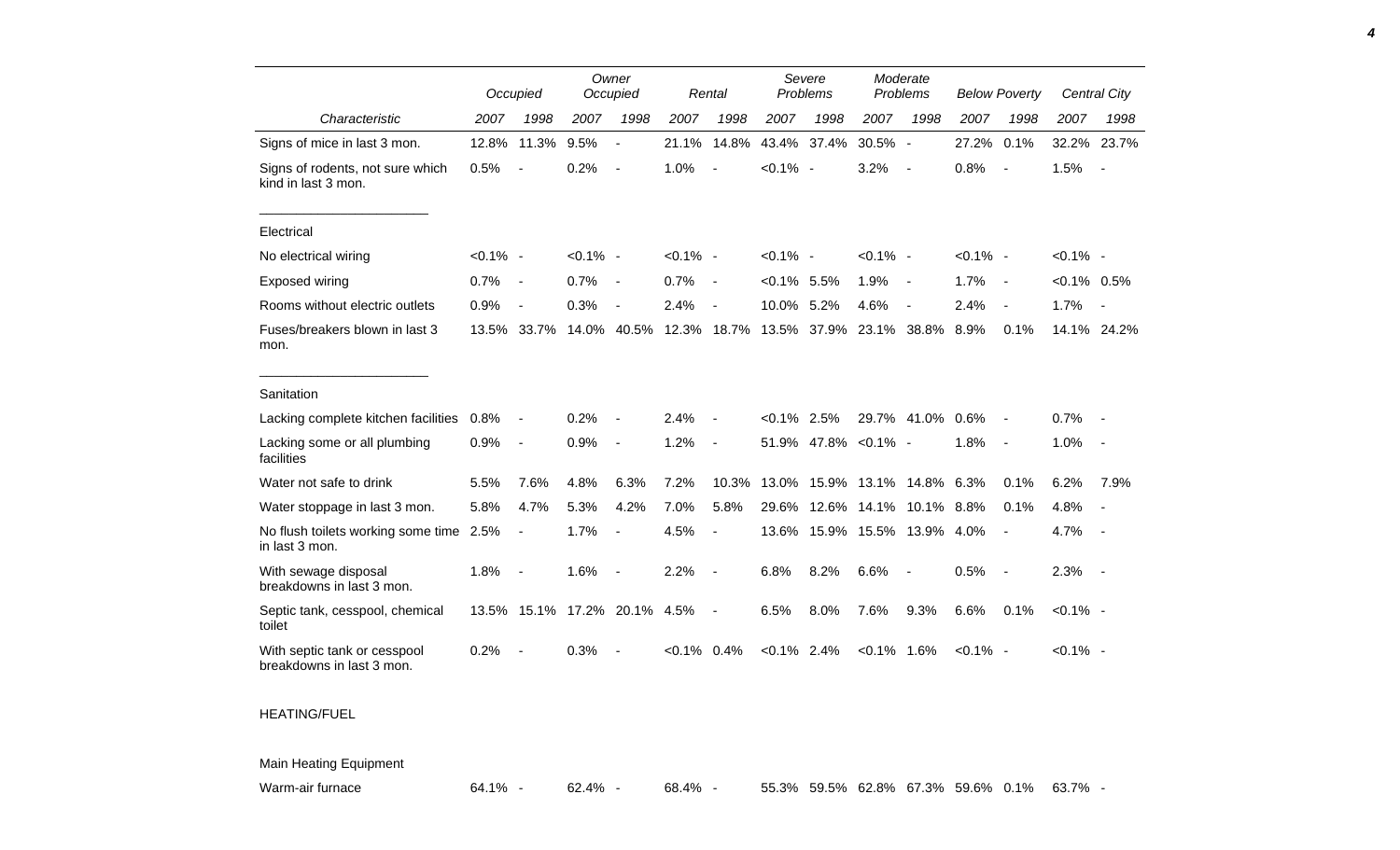|                                                           |             | Occupied                 |             | Owner<br>Occupied            |                | Rental                   | Severe<br>Problems |             | Moderate<br>Problems |                          | <b>Below Poverty</b> |                          |                | Central City             |
|-----------------------------------------------------------|-------------|--------------------------|-------------|------------------------------|----------------|--------------------------|--------------------|-------------|----------------------|--------------------------|----------------------|--------------------------|----------------|--------------------------|
| Characteristic                                            | 2007        | 1998                     | 2007        | 1998                         | 2007           | 1998                     | 2007               | 1998        | 2007                 | 1998                     | 2007                 | 1998                     | 2007           | 1998                     |
| Signs of mice in last 3 mon.                              | 12.8%       | 11.3%                    | 9.5%        | $\overline{\phantom{a}}$     | 21.1%          | 14.8%                    | 43.4%              | 37.4%       | 30.5% -              |                          | 27.2%                | 0.1%                     |                | 32.2% 23.7%              |
| Signs of rodents, not sure which<br>kind in last 3 mon.   | 0.5%        |                          | 0.2%        | $\blacksquare$               | 1.0%           | $\blacksquare$           | $< 0.1\%$ -        |             | 3.2%                 | $\overline{\phantom{a}}$ | 0.8%                 | $\sim$                   | 1.5%           | $\overline{\phantom{a}}$ |
| Electrical                                                |             |                          |             |                              |                |                          |                    |             |                      |                          |                      |                          |                |                          |
| No electrical wiring                                      | $< 0.1\%$ - |                          | $< 0.1\%$ - |                              | $< 0.1\%$ -    |                          | $< 0.1\%$ -        |             | $< 0.1\%$ -          |                          | $< 0.1\%$ -          |                          | $< 0.1\%$ -    |                          |
| Exposed wiring                                            | 0.7%        |                          | 0.7%        | $\overline{\phantom{a}}$     | 0.7%           | $\overline{\phantom{a}}$ | $< 0.1\%$ 5.5%     |             | 1.9%                 | $\overline{\phantom{a}}$ | 1.7%                 | $\sim$                   | $< 0.1\%$ 0.5% |                          |
| Rooms without electric outlets                            | 0.9%        | $\blacksquare$           | 0.3%        | $\blacksquare$               | 2.4%           | $\overline{\phantom{a}}$ | 10.0%              | 5.2%        | 4.6%                 | $\overline{\phantom{a}}$ | 2.4%                 | $\overline{\phantom{a}}$ | 1.7%           | $\blacksquare$           |
| Fuses/breakers blown in last 3<br>mon.                    | 13.5%       | 33.7%                    | 14.0%       | 40.5%                        | 12.3% 18.7%    |                          |                    | 13.5% 37.9% | 23.1%                | 38.8%                    | 8.9%                 | 0.1%                     |                | 14.1% 24.2%              |
| Sanitation                                                |             |                          |             |                              |                |                          |                    |             |                      |                          |                      |                          |                |                          |
| Lacking complete kitchen facilities 0.8%                  |             | $\overline{a}$           | 0.2%        |                              | 2.4%           |                          | $< 0.1\%$          | 2.5%        |                      | 29.7% 41.0%              | 0.6%                 |                          | 0.7%           |                          |
| Lacking some or all plumbing<br>facilities                | 0.9%        | $\overline{\phantom{a}}$ | 0.9%        | $\overline{\phantom{a}}$     | 1.2%           | $\overline{a}$           | 51.9%              |             | 47.8% < 0.1% -       |                          | 1.8%                 | $\overline{\phantom{a}}$ | 1.0%           | $\overline{\phantom{a}}$ |
| Water not safe to drink                                   | 5.5%        | 7.6%                     | 4.8%        | 6.3%                         | 7.2%           | 10.3%                    | 13.0%              | 15.9%       |                      | 13.1% 14.8% 6.3%         |                      | 0.1%                     | 6.2%           | 7.9%                     |
| Water stoppage in last 3 mon.                             | 5.8%        | 4.7%                     | 5.3%        | 4.2%                         | 7.0%           | 5.8%                     | 29.6%              | 12.6%       |                      | 14.1% 10.1% 8.8%         |                      | 0.1%                     | 4.8%           |                          |
| No flush toilets working some time 2.5%<br>in last 3 mon. |             | $\overline{\phantom{a}}$ | 1.7%        | $\overline{a}$               | 4.5%           | $\overline{\phantom{a}}$ | 13.6%              |             | 15.9% 15.5% 13.9%    |                          | 4.0%                 |                          | 4.7%           |                          |
| With sewage disposal<br>breakdowns in last 3 mon.         | 1.8%        | $\overline{\phantom{a}}$ | 1.6%        | $\overline{\phantom{a}}$     | 2.2%           | $\blacksquare$           | 6.8%               | 8.2%        | 6.6%                 | $\blacksquare$           | 0.5%                 | $\sim$                   | 2.3%           | $\overline{\phantom{a}}$ |
| Septic tank, cesspool, chemical<br>toilet                 |             |                          |             | 13.5% 15.1% 17.2% 20.1% 4.5% |                | $\blacksquare$           | 6.5%               | 8.0%        | 7.6%                 | 9.3%                     | 6.6%                 | 0.1%                     | $< 0.1\%$ -    |                          |
| With septic tank or cesspool<br>breakdowns in last 3 mon. | 0.2%        |                          | 0.3%        |                              | $< 0.1\%$ 0.4% |                          | $< 0.1\%$ 2.4%     |             | $< 0.1\%$ 1.6%       |                          | $< 0.1\%$ -          |                          | $< 0.1\%$ -    |                          |
| ___________                                               |             |                          |             |                              |                |                          |                    |             |                      |                          |                      |                          |                |                          |

## HEATING/FUEL

Main Heating Equipment

Warm-air furnace 64.1% - 62.4% - 68.4% - 55.3% 59.5% 62.8% 67.3% 59.6% 0.1% 63.7%

*4*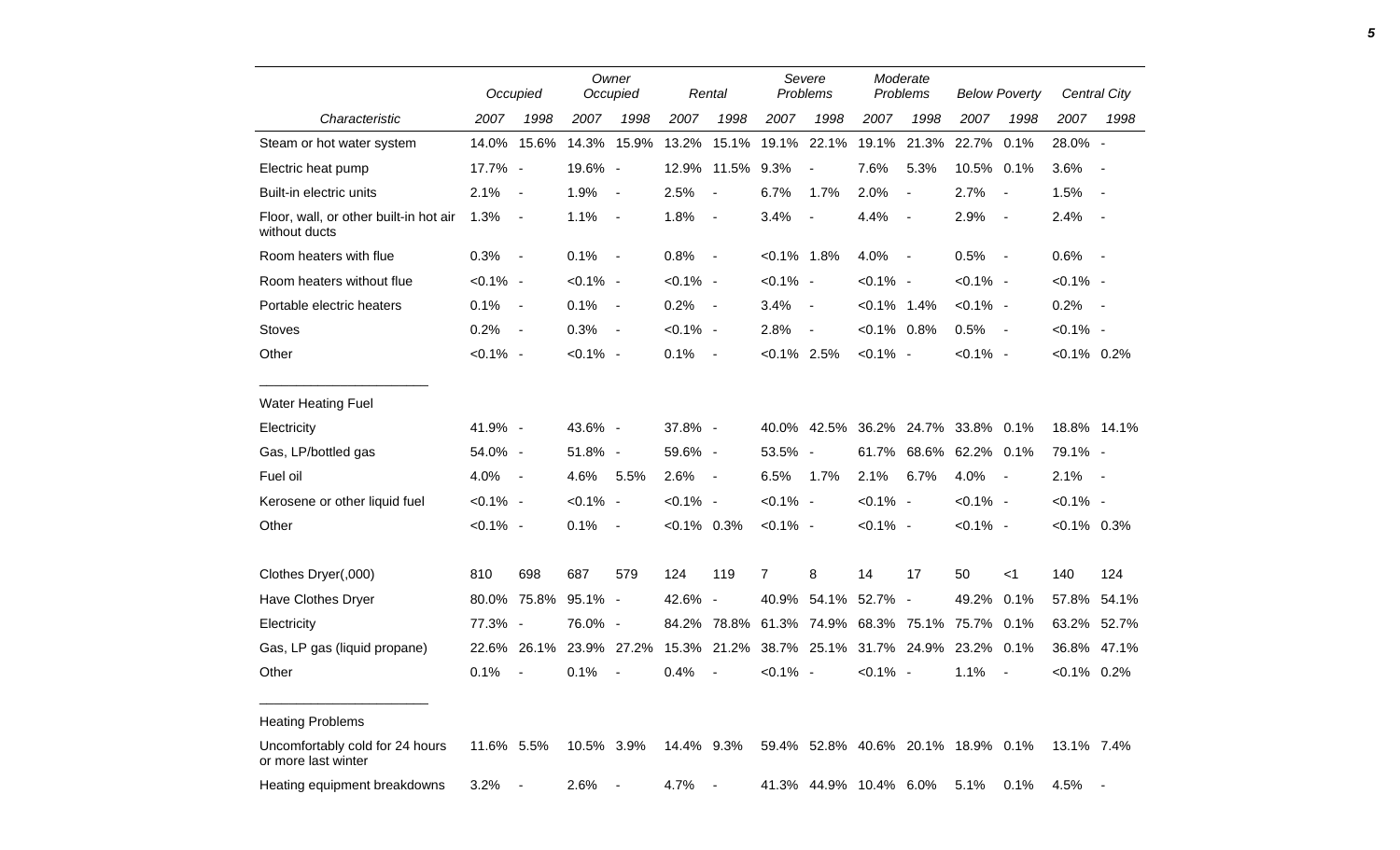|                                                         |             | Occupied       |             | Owner<br>Occupied        |               | Rental                   |                | Severe<br>Problems                 |                | Moderate<br>Problems     |             | <b>Below Poverty</b>     |                | <b>Central City</b>      |
|---------------------------------------------------------|-------------|----------------|-------------|--------------------------|---------------|--------------------------|----------------|------------------------------------|----------------|--------------------------|-------------|--------------------------|----------------|--------------------------|
| Characteristic                                          | 2007        | 1998           | 2007        | 1998                     | 2007          | 1998                     | 2007           | 1998                               | 2007           | 1998                     | 2007        | 1998                     | 2007           | 1998                     |
| Steam or hot water system                               | 14.0%       | 15.6%          | 14.3%       | 15.9%                    | 13.2%         | 15.1%                    | 19.1%          | 22.1%                              | 19.1%          | 21.3%                    | 22.7%       | 0.1%                     | 28.0% -        |                          |
| Electric heat pump                                      | 17.7% -     |                | 19.6% -     |                          | 12.9%         | 11.5%                    | 9.3%           | $\blacksquare$                     | 7.6%           | 5.3%                     | 10.5% 0.1%  |                          | 3.6%           | $\blacksquare$           |
| Built-in electric units                                 | 2.1%        | $\overline{a}$ | 1.9%        | $\overline{\phantom{a}}$ | 2.5%          | $\blacksquare$           | 6.7%           | 1.7%                               | 2.0%           | $\blacksquare$           | 2.7%        | $\overline{\phantom{a}}$ | 1.5%           | $\blacksquare$           |
| Floor, wall, or other built-in hot air<br>without ducts | 1.3%        | $\sim$         | 1.1%        | $\sim$                   | 1.8%          | $\overline{\phantom{a}}$ | 3.4%           | $\overline{\phantom{a}}$           | 4.4%           | $\blacksquare$           | 2.9%        | $\overline{\phantom{a}}$ | 2.4%           | $\blacksquare$           |
| Room heaters with flue                                  | 0.3%        | $\sim$         | 0.1%        | $\sim$                   | 0.8%          | $\sim$                   | $< 0.1\%$ 1.8% |                                    | 4.0%           | $\blacksquare$           | 0.5%        | $\overline{a}$           | 0.6%           | $\sim$                   |
| Room heaters without flue                               | $< 0.1\%$ - |                | $< 0.1\%$ - |                          | $< 0.1\%$ -   |                          | $< 0.1\%$ -    |                                    | $< 0.1\%$ -    |                          | $< 0.1\%$ - |                          | $< 0.1\%$ -    |                          |
| Portable electric heaters                               | 0.1%        | $\sim$         | 0.1%        | $\sim$                   | 0.2%          | $\sim$                   | 3.4%           | $\overline{\phantom{a}}$           | $< 0.1\%$ 1.4% |                          | $< 0.1\%$ - |                          | 0.2%           | $\overline{\phantom{a}}$ |
| <b>Stoves</b>                                           | 0.2%        | $\sim$         | 0.3%        | $\overline{\phantom{a}}$ | $< 0.1\%$ -   |                          | 2.8%           | $\overline{a}$                     | $< 0.1\%$ 0.8% |                          | 0.5%        | $\sim$                   | $< 0.1\%$ -    |                          |
| Other                                                   | $< 0.1\%$ - |                | $< 0.1\%$ - |                          | 0.1%          | $\overline{\phantom{a}}$ | $< 0.1\%$ 2.5% |                                    | $< 0.1\%$ -    |                          | $< 0.1\%$ - |                          | $< 0.1\%$ 0.2% |                          |
|                                                         |             |                |             |                          |               |                          |                |                                    |                |                          |             |                          |                |                          |
| <b>Water Heating Fuel</b><br>Electricity                | 41.9% -     |                | 43.6% -     |                          | 37.8% -       |                          |                | 40.0% 42.5%                        |                | 36.2% 24.7%              | 33.8% 0.1%  |                          |                | 18.8% 14.1%              |
| Gas, LP/bottled gas                                     | 54.0% -     |                | 51.8% -     |                          | 59.6% -       |                          | 53.5% -        |                                    | 61.7%          | 68.6%                    | 62.2% 0.1%  |                          | 79.1% -        |                          |
| Fuel oil                                                | 4.0%        | $\sim$         | 4.6%        | 5.5%                     | 2.6%          | $\overline{\phantom{a}}$ | 6.5%           | 1.7%                               | 2.1%           | 6.7%                     | 4.0%        | $\overline{\phantom{a}}$ | 2.1%           | $\overline{\phantom{a}}$ |
| Kerosene or other liquid fuel                           | $< 0.1\%$ - |                | $< 0.1\%$ - |                          | $< 0.1\%$ -   |                          | $< 0.1\%$ -    |                                    | $< 0.1\%$ -    |                          | $< 0.1\%$ - |                          | $< 0.1\%$ -    |                          |
| Other                                                   | $< 0.1\%$ - |                | 0.1%        | $\overline{\phantom{a}}$ | $<0.1\%$ 0.3% |                          | $< 0.1\%$ -    |                                    | $< 0.1\%$ -    |                          | $< 0.1\%$ - |                          | $< 0.1\%$ 0.3% |                          |
|                                                         |             |                |             |                          |               |                          |                |                                    |                |                          |             |                          |                |                          |
| Clothes Dryer(,000)                                     | 810         | 698            | 687         | 579                      | 124           | 119                      | 7              | 8                                  | 14             | 17                       | 50          | $<$ 1                    | 140            | 124                      |
| Have Clothes Dryer                                      | 80.0%       | 75.8%          | 95.1% -     |                          | 42.6%         | $\overline{\phantom{a}}$ |                | 40.9% 54.1%                        | 52.7%          | $\overline{\phantom{a}}$ | 49.2% 0.1%  |                          |                | 57.8% 54.1%              |
| Electricity                                             | 77.3% -     |                | 76.0% -     |                          | 84.2%         | 78.8%                    |                | 61.3% 74.9%                        | 68.3% 75.1%    |                          | 75.7% 0.1%  |                          |                | 63.2% 52.7%              |
| Gas, LP gas (liquid propane)                            | 22.6%       | 26.1%          |             | 23.9% 27.2%              | 15.3%         | 21.2%                    |                | 38.7% 25.1%                        | 31.7% 24.9%    |                          | 23.2% 0.1%  |                          |                | 36.8% 47.1%              |
| Other                                                   | 0.1%        | $\blacksquare$ | 0.1%        | $\overline{\phantom{a}}$ | 0.4%          | $\overline{\phantom{a}}$ | $< 0.1\%$ -    |                                    | $< 0.1\%$ -    |                          | 1.1%        | $\overline{\phantom{a}}$ | $< 0.1\%$ 0.2% |                          |
|                                                         |             |                |             |                          |               |                          |                |                                    |                |                          |             |                          |                |                          |
| <b>Heating Problems</b>                                 |             |                |             |                          |               |                          |                |                                    |                |                          |             |                          |                |                          |
| Uncomfortably cold for 24 hours<br>or more last winter  | 11.6% 5.5%  |                | 10.5% 3.9%  |                          | 14.4% 9.3%    |                          |                | 59.4% 52.8% 40.6% 20.1% 18.9% 0.1% |                |                          |             |                          | 13.1% 7.4%     |                          |
| Heating equipment breakdowns                            | 3.2%        |                | 2.6%        |                          | 4.7%          | $\overline{\phantom{a}}$ |                | 41.3% 44.9% 10.4% 6.0%             |                |                          | 5.1%        | 0.1%                     | 4.5%           |                          |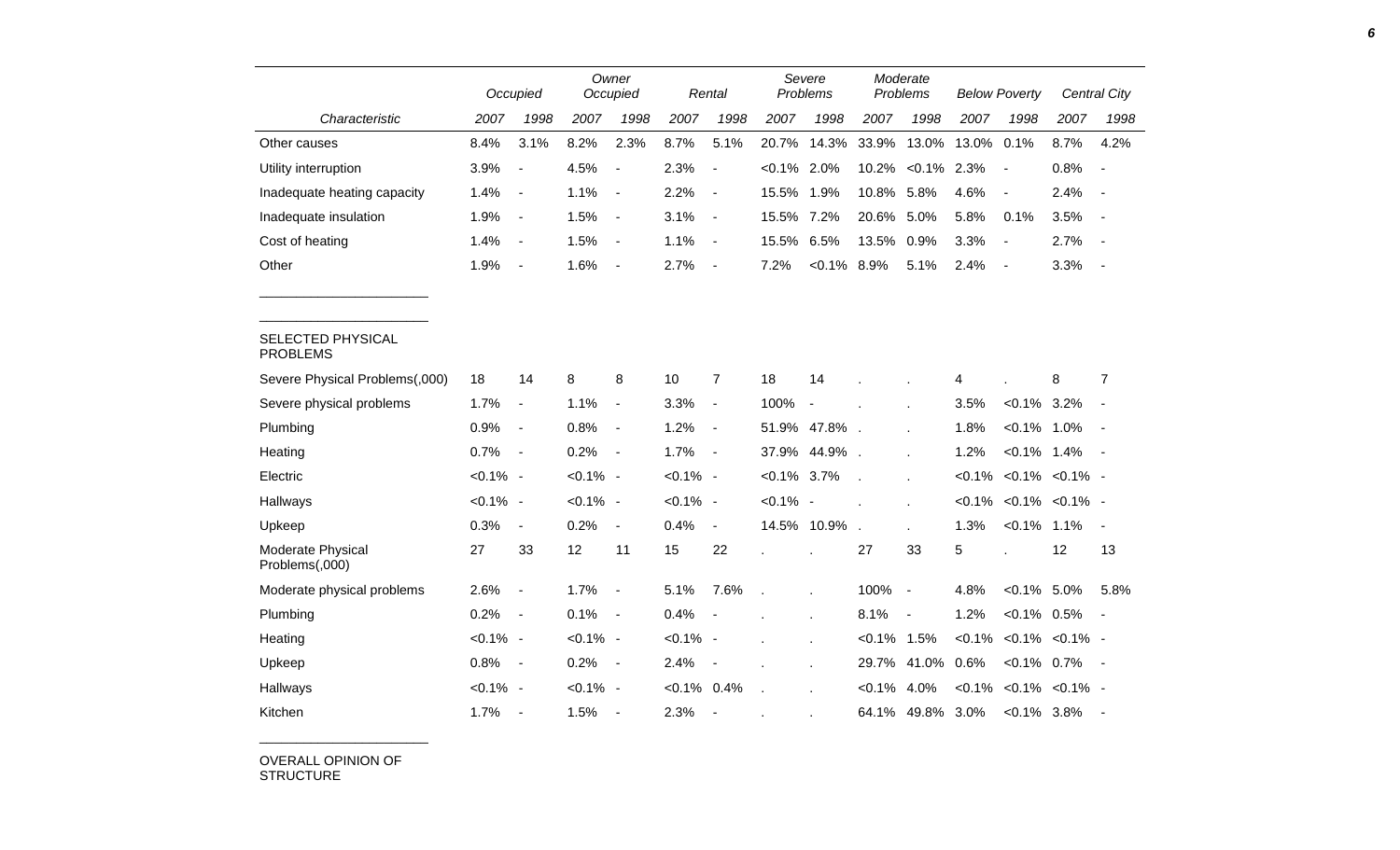|                                      |             | Occupied                     |             | Owner<br>Occupied        |             | Rental                   |                | Severe<br>Problems       |                | Moderate<br>Problems |       | <b>Below Poverty</b>            |      | Central City             |
|--------------------------------------|-------------|------------------------------|-------------|--------------------------|-------------|--------------------------|----------------|--------------------------|----------------|----------------------|-------|---------------------------------|------|--------------------------|
| Characteristic                       | 2007        | 1998                         | 2007        | 1998                     | 2007        | 1998                     | 2007           | 1998                     | 2007           | 1998                 | 2007  | 1998                            | 2007 | 1998                     |
| Other causes                         | 8.4%        | 3.1%                         | 8.2%        | 2.3%                     | 8.7%        | 5.1%                     | 20.7%          | 14.3%                    | 33.9%          | 13.0%                | 13.0% | 0.1%                            | 8.7% | 4.2%                     |
| Utility interruption                 | 3.9%        | $\qquad \qquad \blacksquare$ | 4.5%        | $\overline{\phantom{a}}$ | 2.3%        | $\overline{\phantom{a}}$ | $< 0.1\%$      | 2.0%                     | 10.2%          | $< 0.1\%$            | 2.3%  |                                 | 0.8% | $\overline{\phantom{a}}$ |
| Inadequate heating capacity          | 1.4%        | $\overline{\phantom{a}}$     | 1.1%        | $\overline{\phantom{a}}$ | 2.2%        | $\overline{\phantom{a}}$ | 15.5%          | 1.9%                     | 10.8%          | 5.8%                 | 4.6%  | $\blacksquare$                  | 2.4% |                          |
| Inadequate insulation                | 1.9%        | $\blacksquare$               | 1.5%        | $\overline{\phantom{a}}$ | 3.1%        | $\blacksquare$           | 15.5%          | 7.2%                     | 20.6%          | 5.0%                 | 5.8%  | 0.1%                            | 3.5% | $\overline{\phantom{a}}$ |
| Cost of heating                      | 1.4%        | $\blacksquare$               | 1.5%        | $\blacksquare$           | 1.1%        | $\blacksquare$           | 15.5%          | 6.5%                     | 13.5%          | 0.9%                 | 3.3%  | $\overline{\phantom{a}}$        | 2.7% | $\overline{\phantom{a}}$ |
| Other                                | 1.9%        | $\qquad \qquad \blacksquare$ | 1.6%        | $\overline{\phantom{a}}$ | 2.7%        | $\blacksquare$           | 7.2%           | $< 0.1\%$ 8.9%           |                | 5.1%                 | 2.4%  | $\overline{\phantom{a}}$        | 3.3% | $\overline{\phantom{a}}$ |
|                                      |             |                              |             |                          |             |                          |                |                          |                |                      |       |                                 |      |                          |
| SELECTED PHYSICAL<br><b>PROBLEMS</b> |             |                              |             |                          |             |                          |                |                          |                |                      |       |                                 |      |                          |
| Severe Physical Problems(,000)       | 18          | 14                           | 8           | 8                        | 10          | $\overline{7}$           | 18             | 14                       |                |                      | 4     |                                 | 8    | $\overline{7}$           |
| Severe physical problems             | 1.7%        | $\blacksquare$               | 1.1%        | $\overline{\phantom{a}}$ | 3.3%        | $\blacksquare$           | 100%           | $\overline{\phantom{a}}$ |                |                      | 3.5%  | $< 0.1\%$                       | 3.2% |                          |
| Plumbing                             | 0.9%        | $\qquad \qquad \blacksquare$ | 0.8%        | $\overline{\phantom{a}}$ | 1.2%        | $\overline{\phantom{a}}$ |                | 51.9% 47.8%              |                |                      | 1.8%  | $< 0.1\%$                       | 1.0% |                          |
| Heating                              | 0.7%        | $\overline{\phantom{a}}$     | 0.2%        | $\blacksquare$           | 1.7%        | $\blacksquare$           | 37.9%          | 44.9%                    |                |                      | 1.2%  | $< 0.1\%$ 1.4%                  |      | $\sim$                   |
| Electric                             | $< 0.1\%$ - |                              | $< 0.1\%$ - |                          | $< 0.1\%$ - |                          | $< 0.1\%$      | 3.7%                     |                |                      |       | $< 0.1\%$ $< 0.1\%$ $< 0.1\%$ - |      |                          |
| Hallways                             | $< 0.1\%$ - |                              | $< 0.1\%$ - |                          | $< 0.1\%$ - |                          | $< 0.1\%$ -    |                          |                |                      |       | $< 0.1\%$ $< 0.1\%$ $< 0.1\%$ - |      |                          |
| Upkeep                               | 0.3%        | $\overline{\phantom{a}}$     | 0.2%        | $\blacksquare$           | 0.4%        | $\blacksquare$           |                | 14.5% 10.9%              |                | ÷.                   | 1.3%  | $< 0.1\%$ 1.1%                  |      | $\blacksquare$           |
| Moderate Physical<br>Problems(,000)  | 27          | 33                           | 12          | 11                       | 15          | 22                       |                |                          | 27             | 33                   | 5     |                                 | 12   | 13                       |
| Moderate physical problems           | 2.6%        | $\overline{\phantom{0}}$     | 1.7%        | $\overline{a}$           | 5.1%        | 7.6%                     | $\overline{a}$ |                          | 100%           | $\sim$               | 4.8%  | $< 0.1\%$ 5.0%                  |      | 5.8%                     |
| Plumbing                             | 0.2%        | $\blacksquare$               | 0.1%        | $\overline{\phantom{a}}$ | 0.4%        | $\blacksquare$           |                |                          | 8.1%           | $\blacksquare$       | 1.2%  | $< 0.1\%$ 0.5%                  |      |                          |
| Heating                              | $< 0.1\%$ - |                              | $< 0.1\%$ - |                          | $< 0.1\%$ - |                          |                |                          | $< 0.1\%$ 1.5% |                      |       | $< 0.1\%$ $< 0.1\%$ $< 0.1\%$ - |      |                          |
| Upkeep                               | 0.8%        | $\blacksquare$               | 0.2%        | $\overline{\phantom{a}}$ | 2.4%        | $\blacksquare$           |                |                          | 29.7%          | 41.0%                | 0.6%  | $< 0.1\%$ 0.7%                  |      | $\sim$                   |
| Hallways                             | $< 0.1\%$ - |                              | $< 0.1\%$ - |                          | $< 0.1\%$   | 0.4%                     |                |                          | $< 0.1\%$      | 4.0%                 |       | $< 0.1\%$ $< 0.1\%$ $< 0.1\%$ - |      |                          |
| Kitchen                              | 1.7%        | $\overline{\phantom{a}}$     | 1.5%        | $\blacksquare$           | 2.3%        | $\overline{\phantom{a}}$ |                |                          | 64.1%          | 49.8%                | 3.0%  | $< 0.1\%$ 3.8%                  |      |                          |

OVERALL OPINION OF STRUCTURE

\_\_\_\_\_\_\_\_\_\_\_\_\_\_\_\_\_\_\_\_\_\_\_